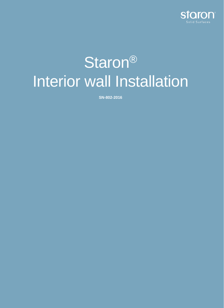

# Staron<sup>®</sup> Interior wall Installation

**SN-802-2016**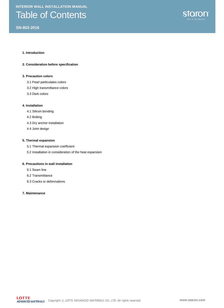### Table of Contents

#### **SN-802-2016**



#### **1. Introduction**

#### **2. Consideration before specification**

#### **3. Precaution colors**

- 3.1 Pearl particulates colors
- 3.2 High transmittance colors
- 3.3 Dark colors

#### **4. Installation**

- 4.1 Silicon bonding
- 4.2 Bolting
- 4.3 Dry anchor installation
- 4.4 Joint design

#### **5. Thermal expansion**

- 5.1 Thermal expansion coefficient
- 5.2 Installation in consideration of the heat expansion

#### **6. Precautions in wall installation**

- 6.1 Seam line
- 6.2 Transmittance
- 6.3 Cracks or deformations

#### **7. Maintenance**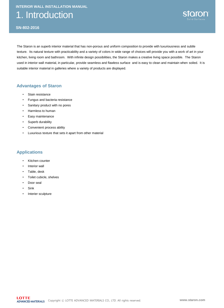### 1. Introduction



The Staron is an superb interior material that has non-porous and uniform composition to provide with luxuriousness and subtle texture. Its natural texture with practicability and a variety of colors in wide range of choices will provide you with a work of art in your kitchen, living room and bathroom. With infinite design possibilities, the Staron makes a creative living space possible. The Staron used in interior wall material, in particular, provide seamless and flawless surface and is easy to clean and maintain when soiled. It is suitable interior material in galleries where a variety of products are displayed.

#### **Advantages of Staron**

- Stain resistance
- Fungus and bacteria resistance
- Sanitary product with no pores
- Harmless to human
- Easy maintenance
- Superb durability
- Convenient process ability
- Luxurious texture that sets it apart from other material

#### **Applications**

- Kitchen counter
- Interior wall
- Table, desk
- Toilet cubicle, shelves
- Door seal
- **Sink**
- Interier sculpture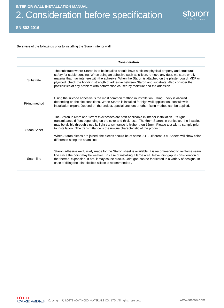# 2. Consideration before specification



#### **SN-802-2016**

Be aware of the followings prior to installing the Staron Interior wall

|               | Consideration                                                                                                                                                                                                                                                                                                                                                                                                                                                                                                                                           |
|---------------|---------------------------------------------------------------------------------------------------------------------------------------------------------------------------------------------------------------------------------------------------------------------------------------------------------------------------------------------------------------------------------------------------------------------------------------------------------------------------------------------------------------------------------------------------------|
| Substrate     | The substrate where Staron is to be installed should have sufficient physical property and structural<br>safety for stable bonding. When using an adhesive such as silicon, remove any dust, moisture or oily<br>material that may interfere with the adhesive. When the Staron is attached on the plaster board, MDF or<br>plywood, check the bonding strength of adhesive between Staron and substrate. Also consider the<br>possibilities of any problem with deformation caused by moisture and the adhesion.                                       |
| Fixing method | Using the silicone adhesive is the most common method in installation. Using Epoxy is allowed<br>depending on the site conditions. When Staron is installed for high wall application, consult with<br>installation expert. Depend on the project, special anchors or other fixing method can be applied.                                                                                                                                                                                                                                               |
| Staon Sheet   | The Staron in 6mm and 12mm thicknesses are both applicable in interior installation . Its light<br>transmittance differs depending on the color and thickness. The 6mm Staron, in particular, the installed<br>may be visible through since its light transmittance is higher then 12mm. Please test with a sample prior<br>to installation. The transmittance is the unique characteristic of the product.<br>When Staron pieces are joined, the pieces should be of same LOT. Different LOT Sheets will show color<br>difference along the seam line. |
| Seam line     | Staron adhesive exclusively made for the Staron sheet is available. It is recommended to reinforce seam<br>line since the point may be weaker. In case of installing a large area, leave joint gap in consideration of<br>the thermal expansion. If not, it may cause cracks. Joint gap can be fabricated in a variety of designs. In<br>case of filling the joint, flexible silicon is recommended.                                                                                                                                                    |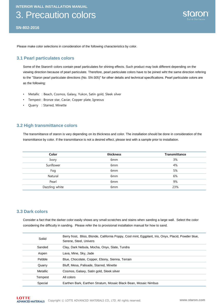### 3. Precaution colors

**SN-802-2016**

Please make color selections in consideration of the following characteristics by color.

#### **3.1 Pearl particulates colors**

Some of the Staron® colors contain pearl particulates for shining effects. Such product may look different depending on the viewing direction because of pearl particulate. Therefore, pearl particulate colors have to be joined wiht the same direction refering to the "Staron pearl particulate directions (No. SN-305)" for other details and technical specifications. Pearl particulate colors are as the following:

- Metallic : Beach, Cosmos, Galaxy, Yukon, Satin gold, Sleek silver
- Tempest : Bronze star, Caviar, Copper plate, Igneous
- Quarry : Starred, Minette

#### **3.2 High transmittance colors**

The transmittance of staron is vary depending on its thickness and color. The installation should be done in consideration of the transmittance by color. If the transmittance is not a desired effect, please test with a sample prior to installation.

| Color          | thickness       | <b>Transmittance</b> |
|----------------|-----------------|----------------------|
| Ivory          | 6 <sub>mm</sub> | 3%                   |
| Sunflower      | 6 <sub>mm</sub> | 4%                   |
| Fog            | 6mm             | 5%                   |
| Natural        | 6mm             | 6%                   |
| Pearl          | 6 <sub>mm</sub> | 9%                   |
| Dazzling white | 6 <sub>mm</sub> | 23%                  |

#### **3.3 Dark colors**

Consider a fact that the darker color easily shows any small scratches and stains when sanding a large wall. Select the color considering the difficulty in sanding. Please refer the to provisional installation manual for how to sand.

| Soliid   | Berry frost, Bliss, Blonde, California Poppy, Cool mint, Eggplant, Iris, Onyx, Placid, Powder blue,<br>Serene, Steel, Univers |
|----------|-------------------------------------------------------------------------------------------------------------------------------|
| Sanded   | Clay, Dark Nebula, Mocha, Onyx, Slate, Tundra                                                                                 |
| Aspen    | Lava, Mine, Sky, Jade                                                                                                         |
| Pebble   | Blue, Chocolate, Copper, Ebony, Sienna, Terrain                                                                               |
| Quarry   | Bluff, Mesa, Palisade, Starred, Minette                                                                                       |
| Metallic | Cosmos, Galaxy, Satin gold, Sleek silver                                                                                      |
| Tempest  | All colors                                                                                                                    |
| Special  | Earthen Bark, Earthen Stratum, Mosaic Black Bean, Mosaic Nimbus                                                               |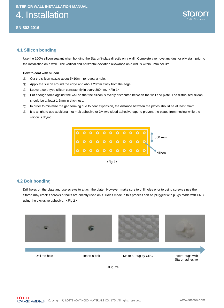4. Installation



#### **4.1 Silicon bonding**

Use the 100% silicon sealant when bonding the Staron® plate directly on a wall. Completely remove any dust or oily stain prior to the installation on a wall. The vertical and horizontal deviation allowance on a wall is within 3mm per 3m.

#### **How to coat with silicon**

- ① Cut the silicon nozzle about 5~10mm to reveal a hole.
- ② Apply the silicon around the edge and about 20mm away from the edge.
- ③ Leave a core type silicon consistently in every 300mm. <Fig 1>
- ④ Put enough force against the wall so that the silicon is evenly distributed between the wall and plate. The distributed silicon should be at least 1.5mm in thickness.
- ⑤ In order to minimize the gap forming due to heat expansion, the distance between the plates should be at least 3mm.
- ⑥ It is alright to use additional hot melt adhesive or 3M two-sided adhesive tape to prevent the plates from moving while the silicon is drying.



 $<$ Fig 1>

#### **4.2 Bolt bonding**

Drill holes on the plate and use screws to attach the plate. However, make sure to drill holes prior to using screws since the Staron may crack if screws or bolts are directly used on it. Holes made in this process can be plugged with plugs made with CNC using the exclusive adhesive. <Fig 2>

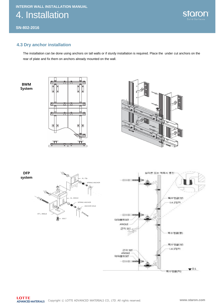4. Installation

**SN-802-2016**



#### **4.3 Dry anchor installation**

The installation can be done using anchors on tall walls or if sturdy installation is required. Place the under cut anchors on the rear of plate and fix them on anchors already mounted on the wall.



대패트SET  $-125$ 

 $\Psi$ G.L

특수영금[해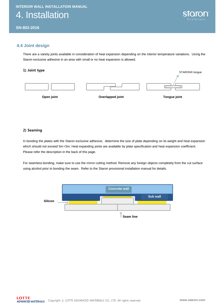4. Installation



STARON® tongue

K

#### **4.4 Joint design**

There are a variety joints available in consideration of heat expansion depending on the interior temperature variations. Using the Staron exclusive adhesive in an area with small or no heat expansion is allowed.

#### 1) Joint type

#### 2) Seaming

In bonding the plates with the Staron exclusive adhesive, determine the size of plate depending on its weight and heat expansion which should not exceed 5m×5m. Heat expanding joints are available by plate specification and heat expansion coefficient. Please refer the description in the back of this page.

For seamless bonding, make sure to use the mirror cutting method. Remove any foreign objects completely from the cut surface using alcohol prior to bonding the seam. Refer to the Staron provisional installation manual for details.

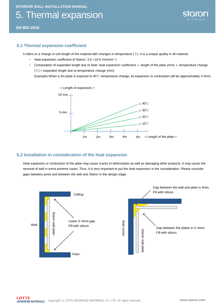## 5. Thermal expansion



**SN-802-2016**

#### **5.1 Thermal expansion coefficient**

It refers to a change in unit length of the material with changes in temperature (℃). It is a unique quality in all material.

- − Heat expansion coefficient of Staron: 3.6 ×10-5 mm/mm ℃
- − Computation of expanded length due to heat: heat expansion coefficient x length of the plate (mm) x temperature change  $(C)$  = expanded length due to temperature change (mm)

Example) When a 3m plate is exposed to 40℃ temperature change, its expansion or contraction will be approximately 4.3mm.



#### **5.2 Installation in consideration of the heat expansion**

Heat expansion or contraction of the plate may cause cracks or deformation as well as damaging other products. It may cause the removal of wall in some extreme cases. Thus, it is very important to put the heat expansion in the consideration. Please consider gaps between joints and between the wall and Staron in the design stage.

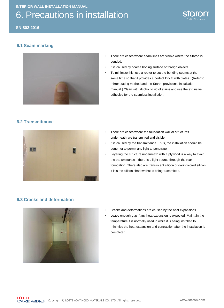# 6. Precautions in installation



**SN-802-2016**

#### **6.1 Seam marking**



- There are cases where seam lines are visible where the Staron is bonded.
- It is caused by coarse boding surface or foreign objects.
- To minimize this, use a router to cut the bonding seams at the same time so that it provides a perfect Dry fit with plates. (Refer to mirror cutting method and the Staron provisional installation manual.) Clean with alcohol to rid of stains and use the exclusive adhesive for the seamless installation.

#### **6.2 Transmittance**



- There are cases where the foundation wall or structures underneath are transmitted and visible.
- It is caused by the transmittance. Thus, the installation should be done not to permit any light to penetrate.
- Layering the structure underneath with a plywood is a way to avoid the transmittance if there is a light source through the rear foundation. There also are translucent silicon or dark colored silicon if it is the silicon shadow that is being transmitted.

#### **6.3 Cracks and deformation**



- Cracks and deformations are caused by the heat expansions.
- Leave enough gap if any heat expansion is expected. Maintain the temperature it is normally used in while it is being installed to minimize the heat expansion and contraction after the installation is completed.